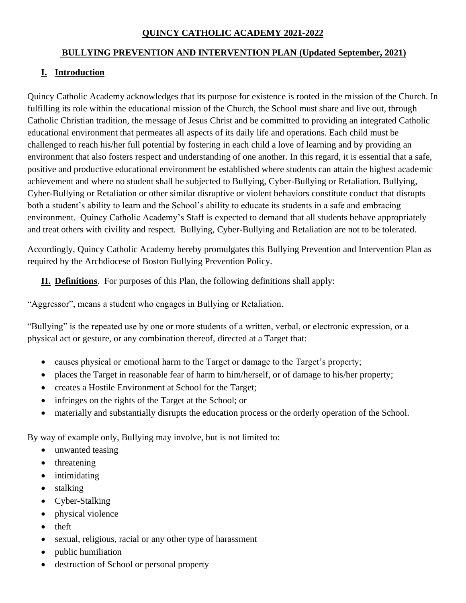#### **QUINCY CATHOLIC ACADEMY 2021-2022**

#### **BULLYING PREVENTION AND INTERVENTION PLAN (Updated September, 2021)**

# **I. Introduction**

Quincy Catholic Academy acknowledges that its purpose for existence is rooted in the mission of the Church. In fulfilling its role within the educational mission of the Church, the School must share and live out, through Catholic Christian tradition, the message of Jesus Christ and be committed to providing an integrated Catholic educational environment that permeates all aspects of its daily life and operations. Each child must be challenged to reach his/her full potential by fostering in each child a love of learning and by providing an environment that also fosters respect and understanding of one another. In this regard, it is essential that a safe, positive and productive educational environment be established where students can attain the highest academic achievement and where no student shall be subjected to Bullying, Cyber-Bullying or Retaliation. Bullying, Cyber-Bullying or Retaliation or other similar disruptive or violent behaviors constitute conduct that disrupts both a student's ability to learn and the School's ability to educate its students in a safe and embracing environment. Quincy Catholic Academy's Staff is expected to demand that all students behave appropriately and treat others with civility and respect. Bullying, Cyber-Bullying and Retaliation are not to be tolerated.

Accordingly, Quincy Catholic Academy hereby promulgates this Bullying Prevention and Intervention Plan as required by the Archdiocese of Boston Bullying Prevention Policy.

**II. Definitions**. For purposes of this Plan, the following definitions shall apply:

"Aggressor", means a student who engages in Bullying or Retaliation.

"Bullying" is the repeated use by one or more students of a written, verbal, or electronic expression, or a physical act or gesture, or any combination thereof, directed at a Target that:

- causes physical or emotional harm to the Target or damage to the Target's property;
- places the Target in reasonable fear of harm to him/herself, or of damage to his/her property;
- creates a Hostile Environment at School for the Target;
- infringes on the rights of the Target at the School; or
- materially and substantially disrupts the education process or the orderly operation of the School.

By way of example only, Bullying may involve, but is not limited to:

- unwanted teasing
- threatening
- intimidating
- stalking
- Cyber-Stalking
- physical violence
- theft
- sexual, religious, racial or any other type of harassment
- public humiliation
- destruction of School or personal property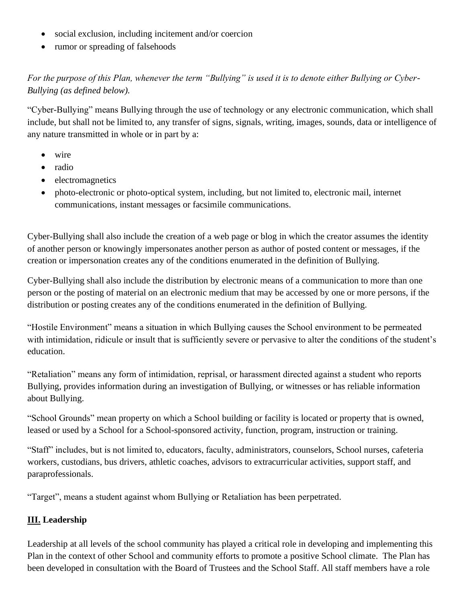- social exclusion, including incitement and/or coercion
- rumor or spreading of falsehoods

*For the purpose of this Plan, whenever the term "Bullying" is used it is to denote either Bullying or Cyber-Bullying (as defined below).*

"Cyber-Bullying" means Bullying through the use of technology or any electronic communication, which shall include, but shall not be limited to, any transfer of signs, signals, writing, images, sounds, data or intelligence of any nature transmitted in whole or in part by a:

- wire
- radio
- electromagnetics
- photo-electronic or photo-optical system, including, but not limited to, electronic mail, internet communications, instant messages or facsimile communications.

Cyber-Bullying shall also include the creation of a web page or blog in which the creator assumes the identity of another person or knowingly impersonates another person as author of posted content or messages, if the creation or impersonation creates any of the conditions enumerated in the definition of Bullying.

Cyber-Bullying shall also include the distribution by electronic means of a communication to more than one person or the posting of material on an electronic medium that may be accessed by one or more persons, if the distribution or posting creates any of the conditions enumerated in the definition of Bullying.

"Hostile Environment" means a situation in which Bullying causes the School environment to be permeated with intimidation, ridicule or insult that is sufficiently severe or pervasive to alter the conditions of the student's education.

"Retaliation" means any form of intimidation, reprisal, or harassment directed against a student who reports Bullying, provides information during an investigation of Bullying, or witnesses or has reliable information about Bullying.

"School Grounds" mean property on which a School building or facility is located or property that is owned, leased or used by a School for a School-sponsored activity, function, program, instruction or training.

"Staff" includes, but is not limited to, educators, faculty, administrators, counselors, School nurses, cafeteria workers, custodians, bus drivers, athletic coaches, advisors to extracurricular activities, support staff, and paraprofessionals.

"Target", means a student against whom Bullying or Retaliation has been perpetrated.

## **III. Leadership**

Leadership at all levels of the school community has played a critical role in developing and implementing this Plan in the context of other School and community efforts to promote a positive School climate. The Plan has been developed in consultation with the Board of Trustees and the School Staff. All staff members have a role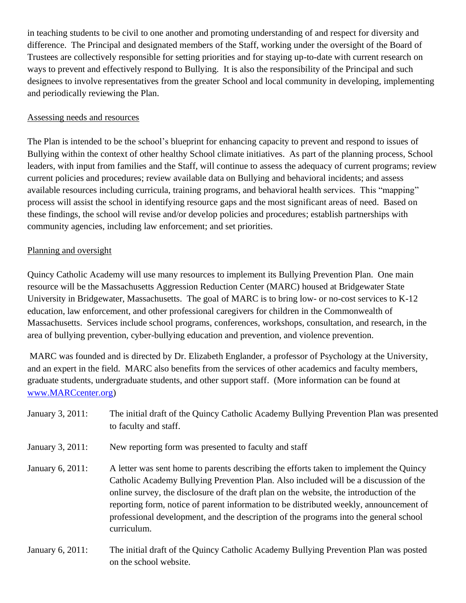in teaching students to be civil to one another and promoting understanding of and respect for diversity and difference. The Principal and designated members of the Staff, working under the oversight of the Board of Trustees are collectively responsible for setting priorities and for staying up-to-date with current research on ways to prevent and effectively respond to Bullying. It is also the responsibility of the Principal and such designees to involve representatives from the greater School and local community in developing, implementing and periodically reviewing the Plan.

#### Assessing needs and resources

The Plan is intended to be the school's blueprint for enhancing capacity to prevent and respond to issues of Bullying within the context of other healthy School climate initiatives. As part of the planning process, School leaders, with input from families and the Staff, will continue to assess the adequacy of current programs; review current policies and procedures; review available data on Bullying and behavioral incidents; and assess available resources including curricula, training programs, and behavioral health services. This "mapping" process will assist the school in identifying resource gaps and the most significant areas of need. Based on these findings, the school will revise and/or develop policies and procedures; establish partnerships with community agencies, including law enforcement; and set priorities.

#### Planning and oversight

Quincy Catholic Academy will use many resources to implement its Bullying Prevention Plan. One main resource will be the Massachusetts Aggression Reduction Center (MARC) housed at Bridgewater State University in Bridgewater, Massachusetts. The goal of MARC is to bring low- or no-cost services to K-12 education, law enforcement, and other professional caregivers for children in the Commonwealth of Massachusetts. Services include school programs, conferences, workshops, consultation, and research, in the area of bullying prevention, cyber-bullying education and prevention, and violence prevention.

MARC was founded and is directed by Dr. Elizabeth Englander, a professor of Psychology at the University, and an expert in the field. MARC also benefits from the services of other academics and faculty members, graduate students, undergraduate students, and other support staff. (More information can be found at [www.MARCcenter.org\)](http://www.marccenter.org/)

| January 3, 2011: | The initial draft of the Quincy Catholic Academy Bullying Prevention Plan was presented<br>to faculty and staff.                                                                                                                                                                                                                                                                                                                                                            |
|------------------|-----------------------------------------------------------------------------------------------------------------------------------------------------------------------------------------------------------------------------------------------------------------------------------------------------------------------------------------------------------------------------------------------------------------------------------------------------------------------------|
| January 3, 2011: | New reporting form was presented to faculty and staff                                                                                                                                                                                                                                                                                                                                                                                                                       |
| January 6, 2011: | A letter was sent home to parents describing the efforts taken to implement the Quincy<br>Catholic Academy Bullying Prevention Plan. Also included will be a discussion of the<br>online survey, the disclosure of the draft plan on the website, the introduction of the<br>reporting form, notice of parent information to be distributed weekly, announcement of<br>professional development, and the description of the programs into the general school<br>curriculum. |
| January 6, 2011: | The initial draft of the Quincy Catholic Academy Bullying Prevention Plan was posted                                                                                                                                                                                                                                                                                                                                                                                        |

on the school website.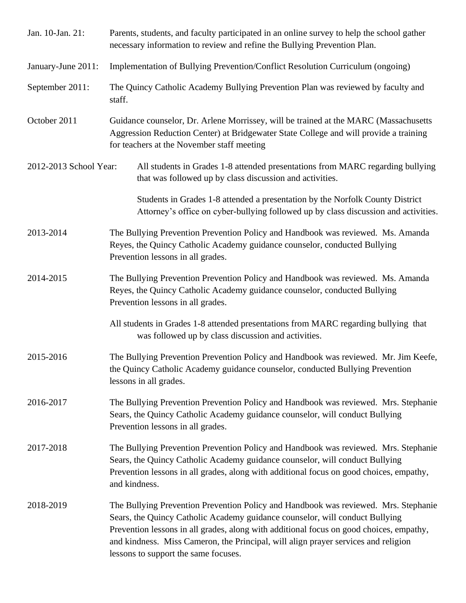| Jan. 10-Jan. 21:       | Parents, students, and faculty participated in an online survey to help the school gather<br>necessary information to review and refine the Bullying Prevention Plan.                                                                                                                                                                                                                        |
|------------------------|----------------------------------------------------------------------------------------------------------------------------------------------------------------------------------------------------------------------------------------------------------------------------------------------------------------------------------------------------------------------------------------------|
| January-June 2011:     | Implementation of Bullying Prevention/Conflict Resolution Curriculum (ongoing)                                                                                                                                                                                                                                                                                                               |
| September 2011:        | The Quincy Catholic Academy Bullying Prevention Plan was reviewed by faculty and<br>staff.                                                                                                                                                                                                                                                                                                   |
| October 2011           | Guidance counselor, Dr. Arlene Morrissey, will be trained at the MARC (Massachusetts<br>Aggression Reduction Center) at Bridgewater State College and will provide a training<br>for teachers at the November staff meeting                                                                                                                                                                  |
| 2012-2013 School Year: | All students in Grades 1-8 attended presentations from MARC regarding bullying<br>that was followed up by class discussion and activities.                                                                                                                                                                                                                                                   |
|                        | Students in Grades 1-8 attended a presentation by the Norfolk County District<br>Attorney's office on cyber-bullying followed up by class discussion and activities.                                                                                                                                                                                                                         |
| 2013-2014              | The Bullying Prevention Prevention Policy and Handbook was reviewed. Ms. Amanda<br>Reyes, the Quincy Catholic Academy guidance counselor, conducted Bullying<br>Prevention lessons in all grades.                                                                                                                                                                                            |
| 2014-2015              | The Bullying Prevention Prevention Policy and Handbook was reviewed. Ms. Amanda<br>Reyes, the Quincy Catholic Academy guidance counselor, conducted Bullying<br>Prevention lessons in all grades.                                                                                                                                                                                            |
|                        | All students in Grades 1-8 attended presentations from MARC regarding bullying that<br>was followed up by class discussion and activities.                                                                                                                                                                                                                                                   |
| 2015-2016              | The Bullying Prevention Prevention Policy and Handbook was reviewed. Mr. Jim Keefe,<br>the Quincy Catholic Academy guidance counselor, conducted Bullying Prevention<br>lessons in all grades.                                                                                                                                                                                               |
| 2016-2017              | The Bullying Prevention Prevention Policy and Handbook was reviewed. Mrs. Stephanie<br>Sears, the Quincy Catholic Academy guidance counselor, will conduct Bullying<br>Prevention lessons in all grades.                                                                                                                                                                                     |
| 2017-2018              | The Bullying Prevention Prevention Policy and Handbook was reviewed. Mrs. Stephanie<br>Sears, the Quincy Catholic Academy guidance counselor, will conduct Bullying<br>Prevention lessons in all grades, along with additional focus on good choices, empathy,<br>and kindness.                                                                                                              |
| 2018-2019              | The Bullying Prevention Prevention Policy and Handbook was reviewed. Mrs. Stephanie<br>Sears, the Quincy Catholic Academy guidance counselor, will conduct Bullying<br>Prevention lessons in all grades, along with additional focus on good choices, empathy,<br>and kindness. Miss Cameron, the Principal, will align prayer services and religion<br>lessons to support the same focuses. |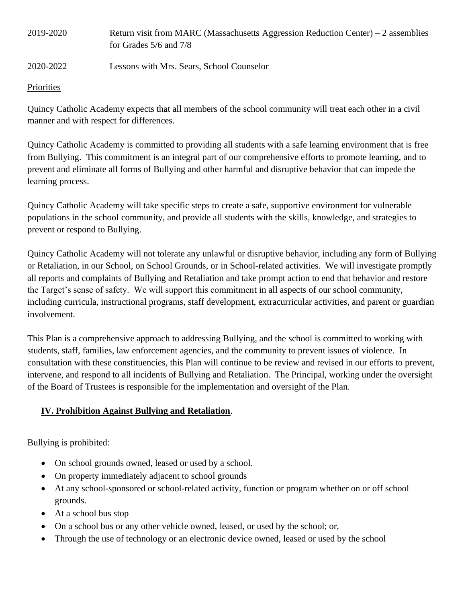| 2019-2020 | Return visit from MARC (Massachusetts Aggression Reduction Center) – 2 assemblies |
|-----------|-----------------------------------------------------------------------------------|
|           | for Grades $5/6$ and $7/8$                                                        |
|           |                                                                                   |

# 2020-2022 Lessons with Mrs. Sears, School Counselor

#### **Priorities**

Quincy Catholic Academy expects that all members of the school community will treat each other in a civil manner and with respect for differences.

Quincy Catholic Academy is committed to providing all students with a safe learning environment that is free from Bullying. This commitment is an integral part of our comprehensive efforts to promote learning, and to prevent and eliminate all forms of Bullying and other harmful and disruptive behavior that can impede the learning process.

Quincy Catholic Academy will take specific steps to create a safe, supportive environment for vulnerable populations in the school community, and provide all students with the skills, knowledge, and strategies to prevent or respond to Bullying.

Quincy Catholic Academy will not tolerate any unlawful or disruptive behavior, including any form of Bullying or Retaliation, in our School, on School Grounds, or in School-related activities. We will investigate promptly all reports and complaints of Bullying and Retaliation and take prompt action to end that behavior and restore the Target's sense of safety. We will support this commitment in all aspects of our school community, including curricula, instructional programs, staff development, extracurricular activities, and parent or guardian involvement.

This Plan is a comprehensive approach to addressing Bullying, and the school is committed to working with students, staff, families, law enforcement agencies, and the community to prevent issues of violence. In consultation with these constituencies, this Plan will continue to be review and revised in our efforts to prevent, intervene, and respond to all incidents of Bullying and Retaliation. The Principal, working under the oversight of the Board of Trustees is responsible for the implementation and oversight of the Plan.

## **IV. Prohibition Against Bullying and Retaliation**.

Bullying is prohibited:

- On school grounds owned, leased or used by a school.
- On property immediately adjacent to school grounds
- At any school-sponsored or school-related activity, function or program whether on or off school grounds.
- At a school bus stop
- On a school bus or any other vehicle owned, leased, or used by the school; or,
- Through the use of technology or an electronic device owned, leased or used by the school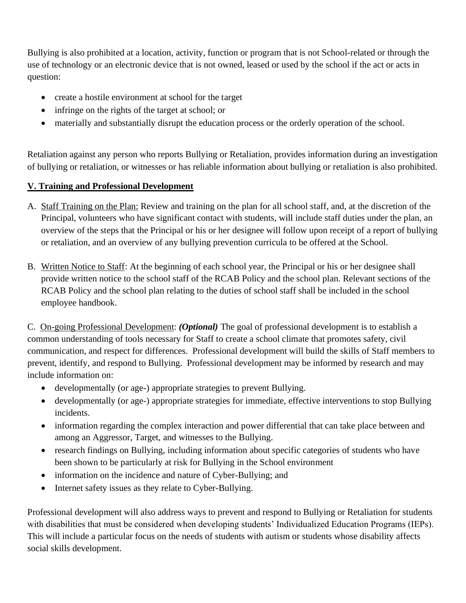Bullying is also prohibited at a location, activity, function or program that is not School-related or through the use of technology or an electronic device that is not owned, leased or used by the school if the act or acts in question:

- create a hostile environment at school for the target
- infringe on the rights of the target at school; or
- materially and substantially disrupt the education process or the orderly operation of the school.

Retaliation against any person who reports Bullying or Retaliation, provides information during an investigation of bullying or retaliation, or witnesses or has reliable information about bullying or retaliation is also prohibited.

# **V. Training and Professional Development**

- A. Staff Training on the Plan: Review and training on the plan for all school staff, and, at the discretion of the Principal, volunteers who have significant contact with students, will include staff duties under the plan, an overview of the steps that the Principal or his or her designee will follow upon receipt of a report of bullying or retaliation, and an overview of any bullying prevention curricula to be offered at the School.
- B. Written Notice to Staff: At the beginning of each school year, the Principal or his or her designee shall provide written notice to the school staff of the RCAB Policy and the school plan. Relevant sections of the RCAB Policy and the school plan relating to the duties of school staff shall be included in the school employee handbook.

C. On-going Professional Development: *(Optional)* The goal of professional development is to establish a common understanding of tools necessary for Staff to create a school climate that promotes safety, civil communication, and respect for differences. Professional development will build the skills of Staff members to prevent, identify, and respond to Bullying. Professional development may be informed by research and may include information on:

- developmentally (or age-) appropriate strategies to prevent Bullying.
- developmentally (or age-) appropriate strategies for immediate, effective interventions to stop Bullying incidents.
- information regarding the complex interaction and power differential that can take place between and among an Aggressor, Target, and witnesses to the Bullying.
- research findings on Bullying, including information about specific categories of students who have been shown to be particularly at risk for Bullying in the School environment
- information on the incidence and nature of Cyber-Bullying; and
- Internet safety issues as they relate to Cyber-Bullying.

Professional development will also address ways to prevent and respond to Bullying or Retaliation for students with disabilities that must be considered when developing students' Individualized Education Programs (IEPs). This will include a particular focus on the needs of students with autism or students whose disability affects social skills development.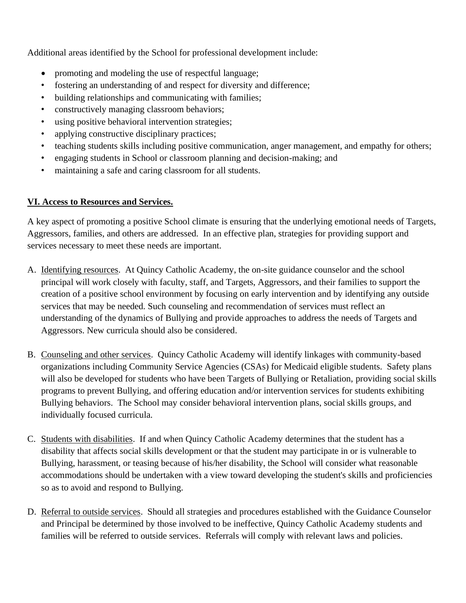Additional areas identified by the School for professional development include:

- promoting and modeling the use of respectful language;
- fostering an understanding of and respect for diversity and difference;
- building relationships and communicating with families;
- constructively managing classroom behaviors;
- using positive behavioral intervention strategies;
- applying constructive disciplinary practices;
- teaching students skills including positive communication, anger management, and empathy for others;
- engaging students in School or classroom planning and decision-making; and
- maintaining a safe and caring classroom for all students.

#### **VI. Access to Resources and Services.**

A key aspect of promoting a positive School climate is ensuring that the underlying emotional needs of Targets, Aggressors, families, and others are addressed. In an effective plan, strategies for providing support and services necessary to meet these needs are important.

- A. Identifying resources. At Quincy Catholic Academy, the on-site guidance counselor and the school principal will work closely with faculty, staff, and Targets, Aggressors, and their families to support the creation of a positive school environment by focusing on early intervention and by identifying any outside services that may be needed. Such counseling and recommendation of services must reflect an understanding of the dynamics of Bullying and provide approaches to address the needs of Targets and Aggressors. New curricula should also be considered.
- B. Counseling and other services. Quincy Catholic Academy will identify linkages with community-based organizations including Community Service Agencies (CSAs) for Medicaid eligible students. Safety plans will also be developed for students who have been Targets of Bullying or Retaliation, providing social skills programs to prevent Bullying, and offering education and/or intervention services for students exhibiting Bullying behaviors. The School may consider behavioral intervention plans, social skills groups, and individually focused curricula.
- C. Students with disabilities. If and when Quincy Catholic Academy determines that the student has a disability that affects social skills development or that the student may participate in or is vulnerable to Bullying, harassment, or teasing because of his/her disability, the School will consider what reasonable accommodations should be undertaken with a view toward developing the student's skills and proficiencies so as to avoid and respond to Bullying.
- D. Referral to outside services. Should all strategies and procedures established with the Guidance Counselor and Principal be determined by those involved to be ineffective, Quincy Catholic Academy students and families will be referred to outside services. Referrals will comply with relevant laws and policies.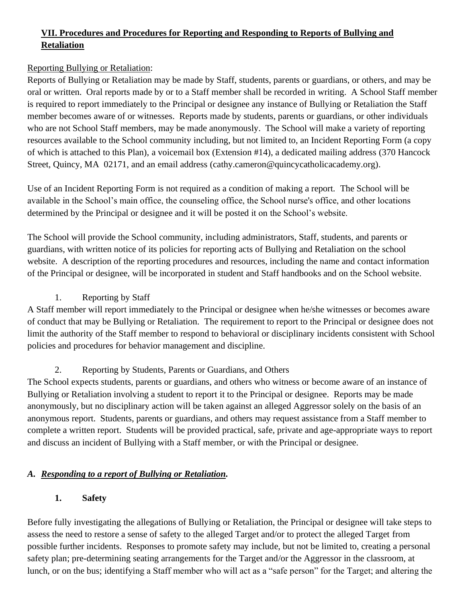# **VII. Procedures and Procedures for Reporting and Responding to Reports of Bullying and Retaliation**

## Reporting Bullying or Retaliation:

Reports of Bullying or Retaliation may be made by Staff, students, parents or guardians, or others, and may be oral or written. Oral reports made by or to a Staff member shall be recorded in writing. A School Staff member is required to report immediately to the Principal or designee any instance of Bullying or Retaliation the Staff member becomes aware of or witnesses. Reports made by students, parents or guardians, or other individuals who are not School Staff members, may be made anonymously. The School will make a variety of reporting resources available to the School community including, but not limited to, an Incident Reporting Form (a copy of which is attached to this Plan), a voicemail box (Extension #14), a dedicated mailing address (370 Hancock Street, Ouincy, MA 02171, and an email address (cathy.cameron@quincycatholicacademy.org).

Use of an Incident Reporting Form is not required as a condition of making a report. The School will be available in the School's main office, the counseling office, the School nurse's office, and other locations determined by the Principal or designee and it will be posted it on the School's website.

The School will provide the School community, including administrators, Staff, students, and parents or guardians, with written notice of its policies for reporting acts of Bullying and Retaliation on the school website. A description of the reporting procedures and resources, including the name and contact information of the Principal or designee, will be incorporated in student and Staff handbooks and on the School website.

## 1. Reporting by Staff

A Staff member will report immediately to the Principal or designee when he/she witnesses or becomes aware of conduct that may be Bullying or Retaliation. The requirement to report to the Principal or designee does not limit the authority of the Staff member to respond to behavioral or disciplinary incidents consistent with School policies and procedures for behavior management and discipline.

## 2. Reporting by Students, Parents or Guardians, and Others

The School expects students, parents or guardians, and others who witness or become aware of an instance of Bullying or Retaliation involving a student to report it to the Principal or designee. Reports may be made anonymously, but no disciplinary action will be taken against an alleged Aggressor solely on the basis of an anonymous report. Students, parents or guardians, and others may request assistance from a Staff member to complete a written report. Students will be provided practical, safe, private and age-appropriate ways to report and discuss an incident of Bullying with a Staff member, or with the Principal or designee.

## *A. Responding to a report of Bullying or Retaliation.*

## **1. Safety**

Before fully investigating the allegations of Bullying or Retaliation, the Principal or designee will take steps to assess the need to restore a sense of safety to the alleged Target and/or to protect the alleged Target from possible further incidents. Responses to promote safety may include, but not be limited to, creating a personal safety plan; pre-determining seating arrangements for the Target and/or the Aggressor in the classroom, at lunch, or on the bus; identifying a Staff member who will act as a "safe person" for the Target; and altering the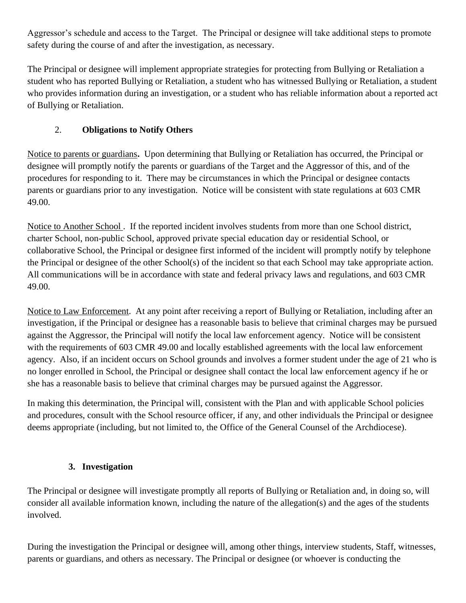Aggressor's schedule and access to the Target. The Principal or designee will take additional steps to promote safety during the course of and after the investigation, as necessary.

The Principal or designee will implement appropriate strategies for protecting from Bullying or Retaliation a student who has reported Bullying or Retaliation, a student who has witnessed Bullying or Retaliation, a student who provides information during an investigation, or a student who has reliable information about a reported act of Bullying or Retaliation.

# 2. **Obligations to Notify Others**

Notice to parents or guardians**.** Upon determining that Bullying or Retaliation has occurred, the Principal or designee will promptly notify the parents or guardians of the Target and the Aggressor of this, and of the procedures for responding to it. There may be circumstances in which the Principal or designee contacts parents or guardians prior to any investigation. Notice will be consistent with state regulations at 603 CMR 49.00.

Notice to Another School . If the reported incident involves students from more than one School district, charter School, non-public School, approved private special education day or residential School, or collaborative School, the Principal or designee first informed of the incident will promptly notify by telephone the Principal or designee of the other School(s) of the incident so that each School may take appropriate action. All communications will be in accordance with state and federal privacy laws and regulations, and 603 CMR 49.00.

Notice to Law Enforcement.At any point after receiving a report of Bullying or Retaliation, including after an investigation, if the Principal or designee has a reasonable basis to believe that criminal charges may be pursued against the Aggressor, the Principal will notify the local law enforcement agency. Notice will be consistent with the requirements of 603 CMR 49.00 and locally established agreements with the local law enforcement agency. Also, if an incident occurs on School grounds and involves a former student under the age of 21 who is no longer enrolled in School, the Principal or designee shall contact the local law enforcement agency if he or she has a reasonable basis to believe that criminal charges may be pursued against the Aggressor.

In making this determination, the Principal will, consistent with the Plan and with applicable School policies and procedures, consult with the School resource officer, if any, and other individuals the Principal or designee deems appropriate (including, but not limited to, the Office of the General Counsel of the Archdiocese).

## **3. Investigation**

The Principal or designee will investigate promptly all reports of Bullying or Retaliation and, in doing so, will consider all available information known, including the nature of the allegation(s) and the ages of the students involved.

During the investigation the Principal or designee will, among other things, interview students, Staff, witnesses, parents or guardians, and others as necessary. The Principal or designee (or whoever is conducting the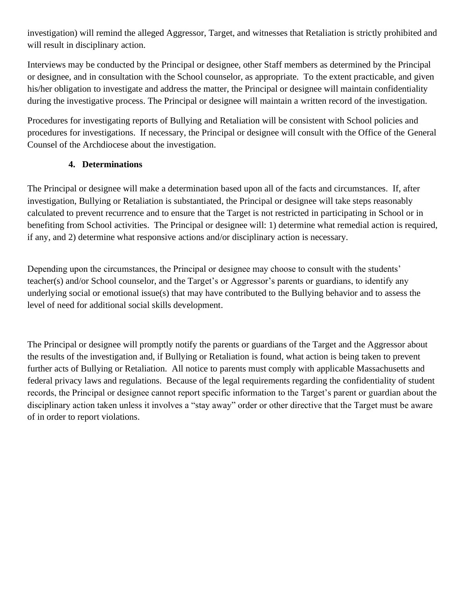investigation) will remind the alleged Aggressor, Target, and witnesses that Retaliation is strictly prohibited and will result in disciplinary action.

Interviews may be conducted by the Principal or designee, other Staff members as determined by the Principal or designee, and in consultation with the School counselor, as appropriate. To the extent practicable, and given his/her obligation to investigate and address the matter, the Principal or designee will maintain confidentiality during the investigative process. The Principal or designee will maintain a written record of the investigation.

Procedures for investigating reports of Bullying and Retaliation will be consistent with School policies and procedures for investigations. If necessary, the Principal or designee will consult with the Office of the General Counsel of the Archdiocese about the investigation.

## **4. Determinations**

The Principal or designee will make a determination based upon all of the facts and circumstances. If, after investigation, Bullying or Retaliation is substantiated, the Principal or designee will take steps reasonably calculated to prevent recurrence and to ensure that the Target is not restricted in participating in School or in benefiting from School activities. The Principal or designee will: 1) determine what remedial action is required, if any, and 2) determine what responsive actions and/or disciplinary action is necessary.

Depending upon the circumstances, the Principal or designee may choose to consult with the students' teacher(s) and/or School counselor, and the Target's or Aggressor's parents or guardians, to identify any underlying social or emotional issue(s) that may have contributed to the Bullying behavior and to assess the level of need for additional social skills development.

The Principal or designee will promptly notify the parents or guardians of the Target and the Aggressor about the results of the investigation and, if Bullying or Retaliation is found, what action is being taken to prevent further acts of Bullying or Retaliation. All notice to parents must comply with applicable Massachusetts and federal privacy laws and regulations. Because of the legal requirements regarding the confidentiality of student records, the Principal or designee cannot report specific information to the Target's parent or guardian about the disciplinary action taken unless it involves a "stay away" order or other directive that the Target must be aware of in order to report violations.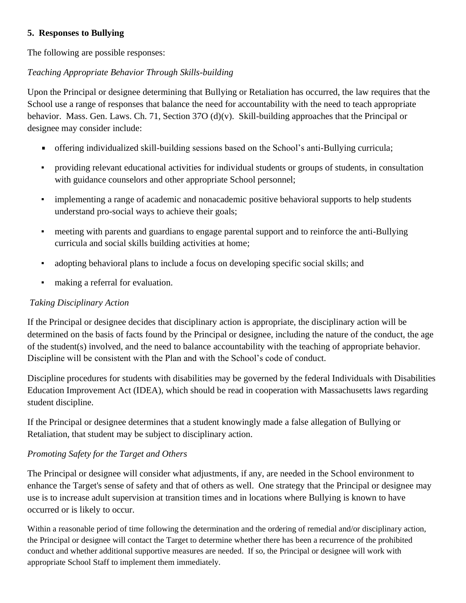#### **5. Responses to Bullying**

The following are possible responses:

#### *Teaching Appropriate Behavior Through Skills-building*

Upon the Principal or designee determining that Bullying or Retaliation has occurred, the law requires that the School use a range of responses that balance the need for accountability with the need to teach appropriate behavior. Mass. Gen. Laws. Ch. 71, Section 37O (d)(v). Skill-building approaches that the Principal or designee may consider include:

- offering individualized skill-building sessions based on the School's anti-Bullying curricula;  $\blacksquare$
- providing relevant educational activities for individual students or groups of students, in consultation with guidance counselors and other appropriate School personnel;
- implementing a range of academic and nonacademic positive behavioral supports to help students understand pro-social ways to achieve their goals;
- meeting with parents and guardians to engage parental support and to reinforce the anti-Bullying curricula and social skills building activities at home;
- adopting behavioral plans to include a focus on developing specific social skills; and
- making a referral for evaluation.

#### *Taking Disciplinary Action*

If the Principal or designee decides that disciplinary action is appropriate, the disciplinary action will be determined on the basis of facts found by the Principal or designee, including the nature of the conduct, the age of the student(s) involved, and the need to balance accountability with the teaching of appropriate behavior. Discipline will be consistent with the Plan and with the School's code of conduct.

Discipline procedures for students with disabilities may be governed by the federal Individuals with Disabilities Education Improvement Act (IDEA), which should be read in cooperation with Massachusetts laws regarding student discipline.

If the Principal or designee determines that a student knowingly made a false allegation of Bullying or Retaliation, that student may be subject to disciplinary action.

#### *Promoting Safety for the Target and Others*

The Principal or designee will consider what adjustments, if any, are needed in the School environment to enhance the Target's sense of safety and that of others as well. One strategy that the Principal or designee may use is to increase adult supervision at transition times and in locations where Bullying is known to have occurred or is likely to occur.

Within a reasonable period of time following the determination and the ordering of remedial and/or disciplinary action, the Principal or designee will contact the Target to determine whether there has been a recurrence of the prohibited conduct and whether additional supportive measures are needed. If so, the Principal or designee will work with appropriate School Staff to implement them immediately.